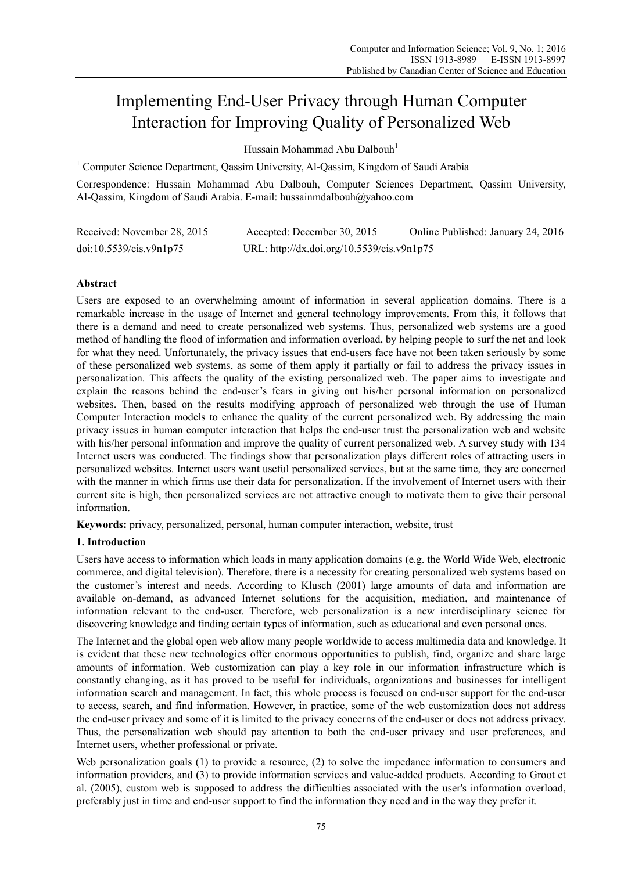# Implementing End-User Privacy through Human Computer Interaction for Improving Quality of Personalized Web

Hussain Mohammad Abu Dalbouh<sup>1</sup>

<sup>1</sup> Computer Science Department, Qassim University, Al-Qassim, Kingdom of Saudi Arabia

Correspondence: Hussain Mohammad Abu Dalbouh, Computer Sciences Department, Qassim University, Al-Qassim, Kingdom of Saudi Arabia. E-mail: hussainmdalbouh@yahoo.com

| Received: November 28, 2015 | Accepted: December 30, 2015                | Online Published: January 24, 2016 |
|-----------------------------|--------------------------------------------|------------------------------------|
| doi:10.5539/cis.v9n1p75     | URL: http://dx.doi.org/10.5539/cis.v9n1p75 |                                    |

## **Abstract**

Users are exposed to an overwhelming amount of information in several application domains. There is a remarkable increase in the usage of Internet and general technology improvements. From this, it follows that there is a demand and need to create personalized web systems. Thus, personalized web systems are a good method of handling the flood of information and information overload, by helping people to surf the net and look for what they need. Unfortunately, the privacy issues that end-users face have not been taken seriously by some of these personalized web systems, as some of them apply it partially or fail to address the privacy issues in personalization. This affects the quality of the existing personalized web. The paper aims to investigate and explain the reasons behind the end-user's fears in giving out his/her personal information on personalized websites. Then, based on the results modifying approach of personalized web through the use of Human Computer Interaction models to enhance the quality of the current personalized web. By addressing the main privacy issues in human computer interaction that helps the end-user trust the personalization web and website with his/her personal information and improve the quality of current personalized web. A survey study with 134 Internet users was conducted. The findings show that personalization plays different roles of attracting users in personalized websites. Internet users want useful personalized services, but at the same time, they are concerned with the manner in which firms use their data for personalization. If the involvement of Internet users with their current site is high, then personalized services are not attractive enough to motivate them to give their personal information.

**Keywords:** privacy, personalized, personal, human computer interaction, website, trust

#### **1. Introduction**

Users have access to information which loads in many application domains (e.g. the World Wide Web, electronic commerce, and digital television). Therefore, there is a necessity for creating personalized web systems based on the customer's interest and needs. According to Klusch (2001) large amounts of data and information are available on-demand, as advanced Internet solutions for the acquisition, mediation, and maintenance of information relevant to the end-user. Therefore, web personalization is a new interdisciplinary science for discovering knowledge and finding certain types of information, such as educational and even personal ones.

The Internet and the global open web allow many people worldwide to access multimedia data and knowledge. It is evident that these new technologies offer enormous opportunities to publish, find, organize and share large amounts of information. Web customization can play a key role in our information infrastructure which is constantly changing, as it has proved to be useful for individuals, organizations and businesses for intelligent information search and management. In fact, this whole process is focused on end-user support for the end-user to access, search, and find information. However, in practice, some of the web customization does not address the end-user privacy and some of it is limited to the privacy concerns of the end-user or does not address privacy. Thus, the personalization web should pay attention to both the end-user privacy and user preferences, and Internet users, whether professional or private.

Web personalization goals (1) to provide a resource, (2) to solve the impedance information to consumers and information providers, and (3) to provide information services and value-added products. According to Groot et al. (2005), custom web is supposed to address the difficulties associated with the user's information overload, preferably just in time and end-user support to find the information they need and in the way they prefer it.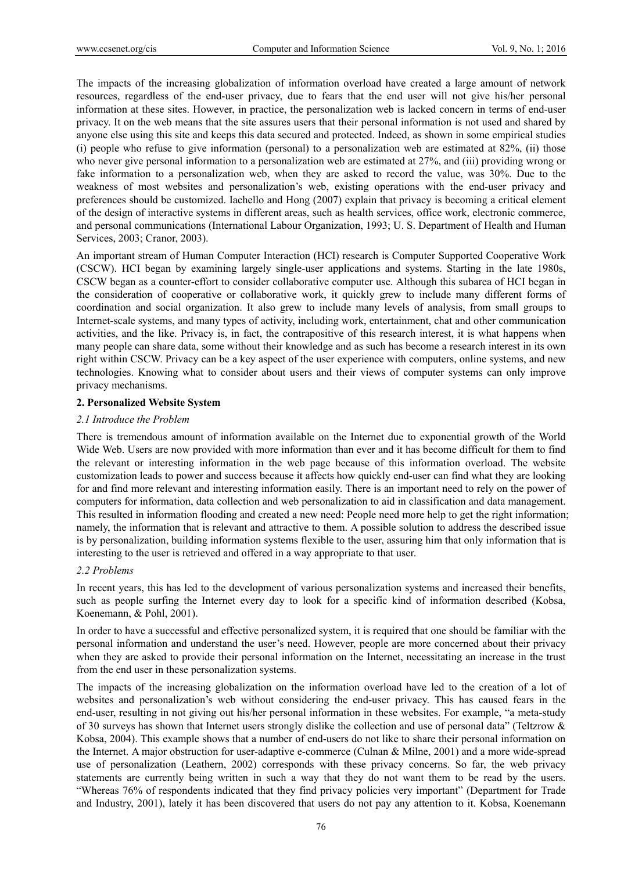The impacts of the increasing globalization of information overload have created a large amount of network resources, regardless of the end-user privacy, due to fears that the end user will not give his/her personal information at these sites. However, in practice, the personalization web is lacked concern in terms of end-user privacy. It on the web means that the site assures users that their personal information is not used and shared by anyone else using this site and keeps this data secured and protected. Indeed, as shown in some empirical studies (i) people who refuse to give information (personal) to a personalization web are estimated at 82%, (ii) those who never give personal information to a personalization web are estimated at 27%, and (iii) providing wrong or fake information to a personalization web, when they are asked to record the value, was 30%. Due to the weakness of most websites and personalization's web, existing operations with the end-user privacy and preferences should be customized. Iachello and Hong (2007) explain that privacy is becoming a critical element of the design of interactive systems in different areas, such as health services, office work, electronic commerce, and personal communications (International Labour Organization, 1993; U. S. Department of Health and Human Services, 2003; Cranor, 2003).

An important stream of Human Computer Interaction (HCI) research is Computer Supported Cooperative Work (CSCW). HCI began by examining largely single-user applications and systems. Starting in the late 1980s, CSCW began as a counter-effort to consider collaborative computer use. Although this subarea of HCI began in the consideration of cooperative or collaborative work, it quickly grew to include many different forms of coordination and social organization. It also grew to include many levels of analysis, from small groups to Internet-scale systems, and many types of activity, including work, entertainment, chat and other communication activities, and the like. Privacy is, in fact, the contrapositive of this research interest, it is what happens when many people can share data, some without their knowledge and as such has become a research interest in its own right within CSCW. Privacy can be a key aspect of the user experience with computers, online systems, and new technologies. Knowing what to consider about users and their views of computer systems can only improve privacy mechanisms.

## **2. Personalized Website System**

#### *2.1 Introduce the Problem*

There is tremendous amount of information available on the Internet due to exponential growth of the World Wide Web. Users are now provided with more information than ever and it has become difficult for them to find the relevant or interesting information in the web page because of this information overload. The website customization leads to power and success because it affects how quickly end-user can find what they are looking for and find more relevant and interesting information easily. There is an important need to rely on the power of computers for information, data collection and web personalization to aid in classification and data management. This resulted in information flooding and created a new need: People need more help to get the right information; namely, the information that is relevant and attractive to them. A possible solution to address the described issue is by personalization, building information systems flexible to the user, assuring him that only information that is interesting to the user is retrieved and offered in a way appropriate to that user.

#### *2.2 Problems*

In recent years, this has led to the development of various personalization systems and increased their benefits, such as people surfing the Internet every day to look for a specific kind of information described (Kobsa, Koenemann, & Pohl, 2001).

In order to have a successful and effective personalized system, it is required that one should be familiar with the personal information and understand the user's need. However, people are more concerned about their privacy when they are asked to provide their personal information on the Internet, necessitating an increase in the trust from the end user in these personalization systems.

The impacts of the increasing globalization on the information overload have led to the creation of a lot of websites and personalization's web without considering the end-user privacy. This has caused fears in the end-user, resulting in not giving out his/her personal information in these websites. For example, "a meta-study of 30 surveys has shown that Internet users strongly dislike the collection and use of personal data" (Teltzrow & Kobsa, 2004). This example shows that a number of end-users do not like to share their personal information on the Internet. A major obstruction for user-adaptive e-commerce (Culnan & Milne, 2001) and a more wide-spread use of personalization (Leathern, 2002) corresponds with these privacy concerns. So far, the web privacy statements are currently being written in such a way that they do not want them to be read by the users. "Whereas 76% of respondents indicated that they find privacy policies very important" (Department for Trade and Industry, 2001), lately it has been discovered that users do not pay any attention to it. Kobsa, Koenemann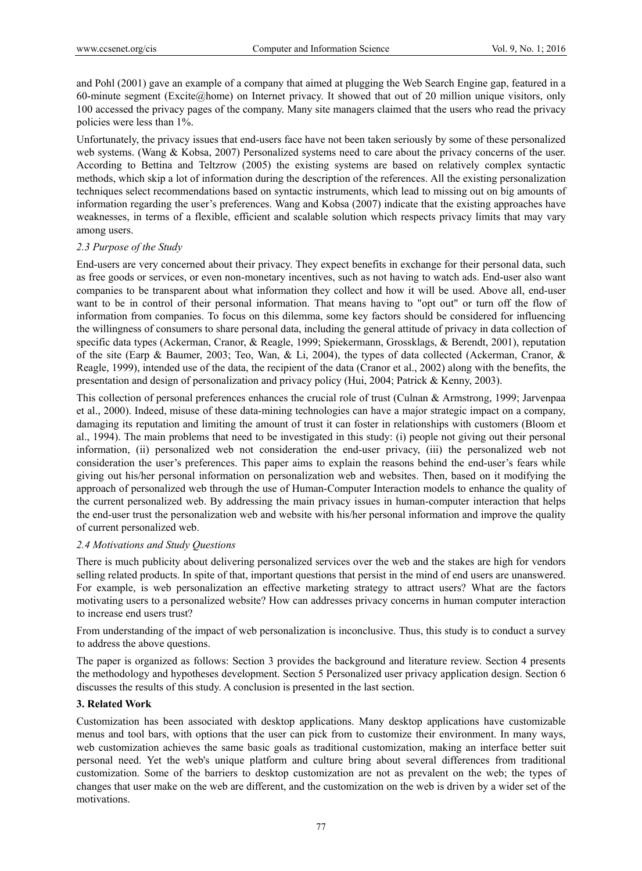and Pohl (2001) gave an example of a company that aimed at plugging the Web Search Engine gap, featured in a 60-minute segment (Excite@home) on Internet privacy. It showed that out of 20 million unique visitors, only 100 accessed the privacy pages of the company. Many site managers claimed that the users who read the privacy policies were less than 1%.

Unfortunately, the privacy issues that end-users face have not been taken seriously by some of these personalized web systems. (Wang & Kobsa, 2007) Personalized systems need to care about the privacy concerns of the user. According to Bettina and Teltzrow (2005) the existing systems are based on relatively complex syntactic methods, which skip a lot of information during the description of the references. All the existing personalization techniques select recommendations based on syntactic instruments, which lead to missing out on big amounts of information regarding the user's preferences. Wang and Kobsa (2007) indicate that the existing approaches have weaknesses, in terms of a flexible, efficient and scalable solution which respects privacy limits that may vary among users.

## *2.3 Purpose of the Study*

End-users are very concerned about their privacy. They expect benefits in exchange for their personal data, such as free goods or services, or even non-monetary incentives, such as not having to watch ads. End-user also want companies to be transparent about what information they collect and how it will be used. Above all, end-user want to be in control of their personal information. That means having to "opt out" or turn off the flow of information from companies. To focus on this dilemma, some key factors should be considered for influencing the willingness of consumers to share personal data, including the general attitude of privacy in data collection of specific data types (Ackerman, Cranor, & Reagle, 1999; Spiekermann, Grossklags, & Berendt, 2001), reputation of the site (Earp & Baumer, 2003; Teo, Wan, & Li, 2004), the types of data collected (Ackerman, Cranor, & Reagle, 1999), intended use of the data, the recipient of the data (Cranor et al., 2002) along with the benefits, the presentation and design of personalization and privacy policy (Hui, 2004; Patrick & Kenny, 2003).

This collection of personal preferences enhances the crucial role of trust (Culnan & Armstrong, 1999; Jarvenpaa et al., 2000). Indeed, misuse of these data-mining technologies can have a major strategic impact on a company, damaging its reputation and limiting the amount of trust it can foster in relationships with customers (Bloom et al., 1994). The main problems that need to be investigated in this study: (i) people not giving out their personal information, (ii) personalized web not consideration the end-user privacy, (iii) the personalized web not consideration the user's preferences. This paper aims to explain the reasons behind the end-user's fears while giving out his/her personal information on personalization web and websites. Then, based on it modifying the approach of personalized web through the use of Human-Computer Interaction models to enhance the quality of the current personalized web. By addressing the main privacy issues in human-computer interaction that helps the end-user trust the personalization web and website with his/her personal information and improve the quality of current personalized web.

#### *2.4 Motivations and Study Questions*

There is much publicity about delivering personalized services over the web and the stakes are high for vendors selling related products. In spite of that, important questions that persist in the mind of end users are unanswered. For example, is web personalization an effective marketing strategy to attract users? What are the factors motivating users to a personalized website? How can addresses privacy concerns in human computer interaction to increase end users trust?

From understanding of the impact of web personalization is inconclusive. Thus, this study is to conduct a survey to address the above questions.

The paper is organized as follows: Section 3 provides the background and literature review. Section 4 presents the methodology and hypotheses development. Section 5 Personalized user privacy application design. Section 6 discusses the results of this study. A conclusion is presented in the last section.

## **3. Related Work**

Customization has been associated with desktop applications. Many desktop applications have customizable menus and tool bars, with options that the user can pick from to customize their environment. In many ways, web customization achieves the same basic goals as traditional customization, making an interface better suit personal need. Yet the web's unique platform and culture bring about several differences from traditional customization. Some of the barriers to desktop customization are not as prevalent on the web; the types of changes that user make on the web are different, and the customization on the web is driven by a wider set of the motivations.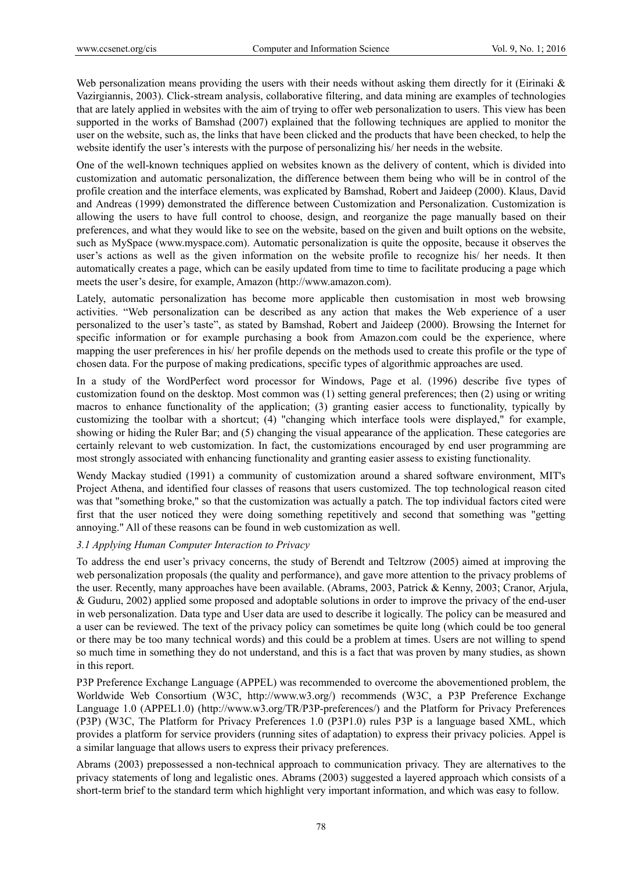Web personalization means providing the users with their needs without asking them directly for it (Eirinaki & Vazirgiannis, 2003). Click-stream analysis, collaborative filtering, and data mining are examples of technologies that are lately applied in websites with the aim of trying to offer web personalization to users. This view has been supported in the works of Bamshad (2007) explained that the following techniques are applied to monitor the user on the website, such as, the links that have been clicked and the products that have been checked, to help the website identify the user's interests with the purpose of personalizing his/ her needs in the website.

One of the well-known techniques applied on websites known as the delivery of content, which is divided into customization and automatic personalization, the difference between them being who will be in control of the profile creation and the interface elements, was explicated by Bamshad, Robert and Jaideep (2000). Klaus, David and Andreas (1999) demonstrated the difference between Customization and Personalization. Customization is allowing the users to have full control to choose, design, and reorganize the page manually based on their preferences, and what they would like to see on the website, based on the given and built options on the website, such as MySpace (www.myspace.com). Automatic personalization is quite the opposite, because it observes the user's actions as well as the given information on the website profile to recognize his/ her needs. It then automatically creates a page, which can be easily updated from time to time to facilitate producing a page which meets the user's desire, for example, Amazon (http://www.amazon.com).

Lately, automatic personalization has become more applicable then customisation in most web browsing activities. "Web personalization can be described as any action that makes the Web experience of a user personalized to the user's taste", as stated by Bamshad, Robert and Jaideep (2000). Browsing the Internet for specific information or for example purchasing a book from Amazon.com could be the experience, where mapping the user preferences in his/ her profile depends on the methods used to create this profile or the type of chosen data. For the purpose of making predications, specific types of algorithmic approaches are used.

In a study of the WordPerfect word processor for Windows, Page et al. (1996) describe five types of customization found on the desktop. Most common was (1) setting general preferences; then (2) using or writing macros to enhance functionality of the application; (3) granting easier access to functionality, typically by customizing the toolbar with a shortcut; (4) "changing which interface tools were displayed," for example, showing or hiding the Ruler Bar; and (5) changing the visual appearance of the application. These categories are certainly relevant to web customization. In fact, the customizations encouraged by end user programming are most strongly associated with enhancing functionality and granting easier assess to existing functionality.

Wendy Mackay studied (1991) a community of customization around a shared software environment, MIT's Project Athena, and identified four classes of reasons that users customized. The top technological reason cited was that "something broke," so that the customization was actually a patch. The top individual factors cited were first that the user noticed they were doing something repetitively and second that something was "getting annoying." All of these reasons can be found in web customization as well.

# *3.1 Applying Human Computer Interaction to Privacy*

To address the end user's privacy concerns, the study of Berendt and Teltzrow (2005) aimed at improving the web personalization proposals (the quality and performance), and gave more attention to the privacy problems of the user. Recently, many approaches have been available. (Abrams, 2003, Patrick & Kenny, 2003; Cranor, Arjula, & Guduru, 2002) applied some proposed and adoptable solutions in order to improve the privacy of the end-user in web personalization. Data type and User data are used to describe it logically. The policy can be measured and a user can be reviewed. The text of the privacy policy can sometimes be quite long (which could be too general or there may be too many technical words) and this could be a problem at times. Users are not willing to spend so much time in something they do not understand, and this is a fact that was proven by many studies, as shown in this report.

P3P Preference Exchange Language (APPEL) was recommended to overcome the abovementioned problem, the Worldwide Web Consortium (W3C, http://www.w3.org/) recommends (W3C, a P3P Preference Exchange Language 1.0 (APPEL1.0) (http://www.w3.org/TR/P3P-preferences/) and the Platform for Privacy Preferences (P3P) (W3C, The Platform for Privacy Preferences 1.0 (P3P1.0) rules P3P is a language based XML, which provides a platform for service providers (running sites of adaptation) to express their privacy policies. Appel is a similar language that allows users to express their privacy preferences.

Abrams (2003) prepossessed a non-technical approach to communication privacy. They are alternatives to the privacy statements of long and legalistic ones. Abrams (2003) suggested a layered approach which consists of a short-term brief to the standard term which highlight very important information, and which was easy to follow.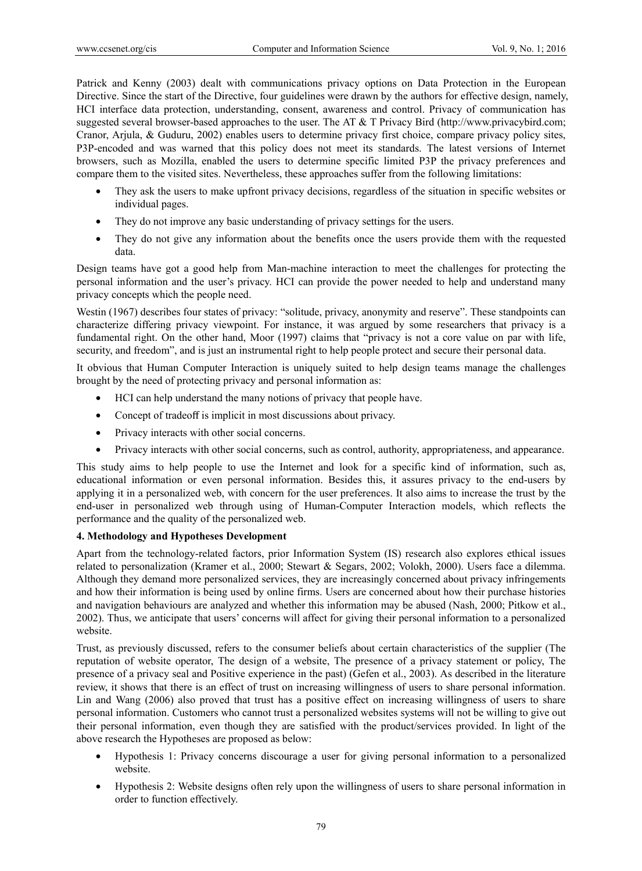Patrick and Kenny (2003) dealt with communications privacy options on Data Protection in the European Directive. Since the start of the Directive, four guidelines were drawn by the authors for effective design, namely, HCI interface data protection, understanding, consent, awareness and control. Privacy of communication has suggested several browser-based approaches to the user. The AT & T Privacy Bird (http://www.privacybird.com; Cranor, Arjula, & Guduru, 2002) enables users to determine privacy first choice, compare privacy policy sites, P3P-encoded and was warned that this policy does not meet its standards. The latest versions of Internet browsers, such as Mozilla, enabled the users to determine specific limited P3P the privacy preferences and compare them to the visited sites. Nevertheless, these approaches suffer from the following limitations:

- They ask the users to make upfront privacy decisions, regardless of the situation in specific websites or individual pages.
- They do not improve any basic understanding of privacy settings for the users.
- They do not give any information about the benefits once the users provide them with the requested data.

Design teams have got a good help from Man-machine interaction to meet the challenges for protecting the personal information and the user's privacy. HCI can provide the power needed to help and understand many privacy concepts which the people need.

Westin (1967) describes four states of privacy: "solitude, privacy, anonymity and reserve". These standpoints can characterize differing privacy viewpoint. For instance, it was argued by some researchers that privacy is a fundamental right. On the other hand, Moor (1997) claims that "privacy is not a core value on par with life, security, and freedom", and is just an instrumental right to help people protect and secure their personal data.

It obvious that Human Computer Interaction is uniquely suited to help design teams manage the challenges brought by the need of protecting privacy and personal information as:

- HCI can help understand the many notions of privacy that people have.
- Concept of tradeoff is implicit in most discussions about privacy.
- Privacy interacts with other social concerns.
- Privacy interacts with other social concerns, such as control, authority, appropriateness, and appearance.

This study aims to help people to use the Internet and look for a specific kind of information, such as, educational information or even personal information. Besides this, it assures privacy to the end-users by applying it in a personalized web, with concern for the user preferences. It also aims to increase the trust by the end-user in personalized web through using of Human-Computer Interaction models, which reflects the performance and the quality of the personalized web.

#### **4. Methodology and Hypotheses Development**

Apart from the technology-related factors, prior Information System (IS) research also explores ethical issues related to personalization (Kramer et al., 2000; Stewart & Segars, 2002; Volokh, 2000). Users face a dilemma. Although they demand more personalized services, they are increasingly concerned about privacy infringements and how their information is being used by online firms. Users are concerned about how their purchase histories and navigation behaviours are analyzed and whether this information may be abused (Nash, 2000; Pitkow et al., 2002). Thus, we anticipate that users' concerns will affect for giving their personal information to a personalized website.

Trust, as previously discussed, refers to the consumer beliefs about certain characteristics of the supplier (The reputation of website operator, The design of a website, The presence of a privacy statement or policy, The presence of a privacy seal and Positive experience in the past) (Gefen et al., 2003). As described in the literature review, it shows that there is an effect of trust on increasing willingness of users to share personal information. Lin and Wang (2006) also proved that trust has a positive effect on increasing willingness of users to share personal information. Customers who cannot trust a personalized websites systems will not be willing to give out their personal information, even though they are satisfied with the product/services provided. In light of the above research the Hypotheses are proposed as below:

- Hypothesis 1: Privacy concerns discourage a user for giving personal information to a personalized website.
- Hypothesis 2: Website designs often rely upon the willingness of users to share personal information in order to function effectively.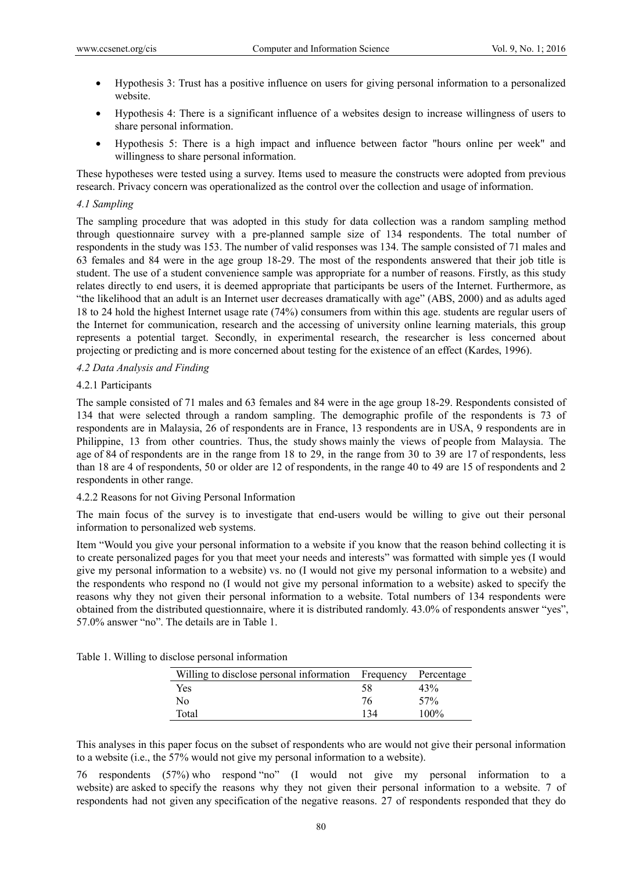- Hypothesis 3: Trust has a positive influence on users for giving personal information to a personalized website.
- Hypothesis 4: There is a significant influence of a websites design to increase willingness of users to share personal information.
- Hypothesis 5: There is a high impact and influence between factor "hours online per week" and willingness to share personal information.

These hypotheses were tested using a survey. Items used to measure the constructs were adopted from previous research. Privacy concern was operationalized as the control over the collection and usage of information.

#### *4.1 Sampling*

The sampling procedure that was adopted in this study for data collection was a random sampling method through questionnaire survey with a pre-planned sample size of 134 respondents. The total number of respondents in the study was 153. The number of valid responses was 134. The sample consisted of 71 males and 63 females and 84 were in the age group 18-29. The most of the respondents answered that their job title is student. The use of a student convenience sample was appropriate for a number of reasons. Firstly, as this study relates directly to end users, it is deemed appropriate that participants be users of the Internet. Furthermore, as "the likelihood that an adult is an Internet user decreases dramatically with age" (ABS, 2000) and as adults aged 18 to 24 hold the highest Internet usage rate (74%) consumers from within this age. students are regular users of the Internet for communication, research and the accessing of university online learning materials, this group represents a potential target. Secondly, in experimental research, the researcher is less concerned about projecting or predicting and is more concerned about testing for the existence of an effect (Kardes, 1996).

## *4.2 Data Analysis and Finding*

#### 4.2.1 Participants

The sample consisted of 71 males and 63 females and 84 were in the age group 18-29. Respondents consisted of 134 that were selected through a random sampling. The demographic profile of the respondents is 73 of respondents are in Malaysia, 26 of respondents are in France, 13 respondents are in USA, 9 respondents are in Philippine, 13 from other countries. Thus, the study shows mainly the views of people from Malaysia. The age of 84 of respondents are in the range from 18 to 29, in the range from 30 to 39 are 17 of respondents, less than 18 are 4 of respondents, 50 or older are 12 of respondents, in the range 40 to 49 are 15 of respondents and 2 respondents in other range.

## 4.2.2 Reasons for not Giving Personal Information

The main focus of the survey is to investigate that end-users would be willing to give out their personal information to personalized web systems.

Item "Would you give your personal information to a website if you know that the reason behind collecting it is to create personalized pages for you that meet your needs and interests" was formatted with simple yes (I would give my personal information to a website) vs. no (I would not give my personal information to a website) and the respondents who respond no (I would not give my personal information to a website) asked to specify the reasons why they not given their personal information to a website. Total numbers of 134 respondents were obtained from the distributed questionnaire, where it is distributed randomly. 43.0% of respondents answer "yes", 57.0% answer "no". The details are in Table 1.

| Willing to disclose personal information Frequency Percentage |     |                 |
|---------------------------------------------------------------|-----|-----------------|
| Yes                                                           | 58  | 43%             |
| No                                                            | 76  | 57 <sub>%</sub> |
| Total                                                         | 134 | $100\%$         |

Table 1. Willing to disclose personal information

This analyses in this paper focus on the subset of respondents who are would not give their personal information to a website (i.e., the 57% would not give my personal information to a website).

76 respondents (57%) who respond "no" (I would not give my personal information to a website) are asked to specify the reasons why they not given their personal information to a website. 7 of respondents had not given any specification of the negative reasons. 27 of respondents responded that they do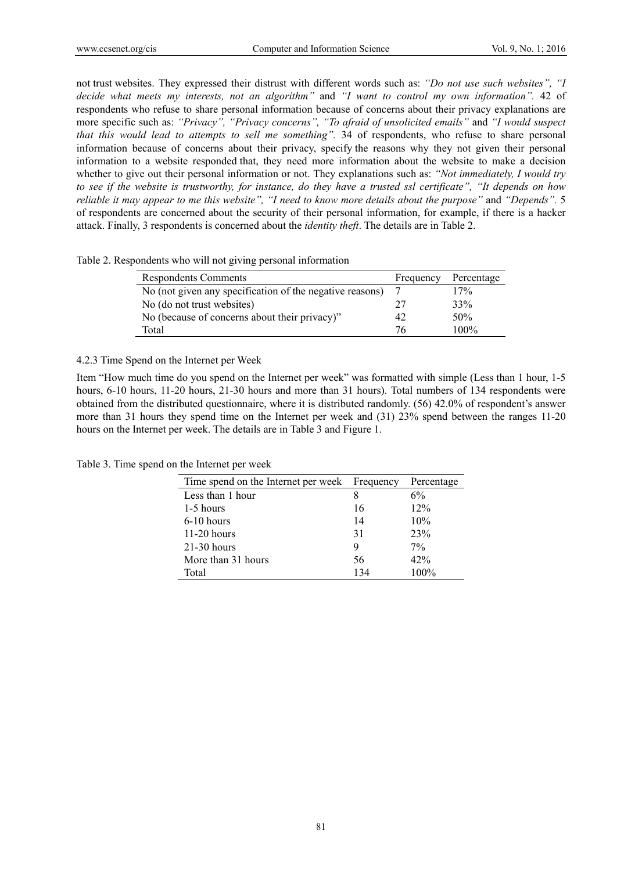not trust websites. They expressed their distrust with different words such as: *"Do not use such websites", "I decide what meets my interests, not an algorithm"* and *"I want to control my own information".* 42 of respondents who refuse to share personal information because of concerns about their privacy explanations are more specific such as: *"Privacy", "Privacy concerns", "To afraid of unsolicited emails"* and *"I would suspect that this would lead to attempts to sell me something".* 34 of respondents, who refuse to share personal information because of concerns about their privacy, specify the reasons why they not given their personal information to a website responded that, they need more information about the website to make a decision whether to give out their personal information or not. They explanations such as: *"Not immediately, I would try to see if the website is trustworthy, for instance, do they have a trusted ssl certificate", "It depends on how reliable it may appear to me this website", "I need to know more details about the purpose"* and *"Depends".* 5 of respondents are concerned about the security of their personal information, for example, if there is a hacker attack. Finally, 3 respondents is concerned about the *identity theft*. The details are in Table 2.

Table 2. Respondents who will not giving personal information

| Respondents Comments                                     | Frequency | Percentage |
|----------------------------------------------------------|-----------|------------|
| No (not given any specification of the negative reasons) |           | 17%        |
| No (do not trust websites)                               | 27        | 33%        |
| No (because of concerns about their privacy)"            | 42        | 50%        |
| Total                                                    | 76        | $100\%$    |

#### 4.2.3 Time Spend on the Internet per Week

Item "How much time do you spend on the Internet per week" was formatted with simple (Less than 1 hour, 1-5 hours, 6-10 hours, 11-20 hours, 21-30 hours and more than 31 hours). Total numbers of 134 respondents were obtained from the distributed questionnaire, where it is distributed randomly. (56) 42.0% of respondent's answer more than 31 hours they spend time on the Internet per week and (31) 23% spend between the ranges 11-20 hours on the Internet per week. The details are in Table 3 and Figure 1.

Table 3. Time spend on the Internet per week

| Time spend on the Internet per week Frequency |     | Percentage |
|-----------------------------------------------|-----|------------|
| Less than 1 hour                              |     | 6%         |
| 1-5 hours                                     | 16  | 12%        |
| $6-10$ hours                                  | 14  | 10%        |
| $11-20$ hours                                 | 31  | 23%        |
| $21-30$ hours                                 | 9   | $7\%$      |
| More than 31 hours                            | 56  | 42%        |
| Total                                         | 134 | 100%       |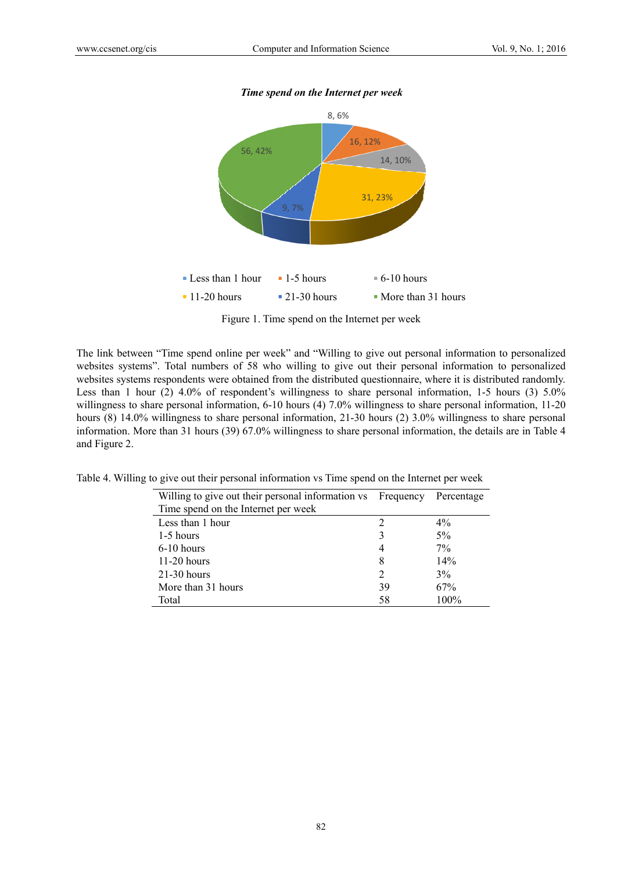

# *Time spend on the Internet per week*

Figure 1. Time spend on the Internet per week

The link between "Time spend online per week" and "Willing to give out personal information to personalized websites systems". Total numbers of 58 who willing to give out their personal information to personalized websites systems respondents were obtained from the distributed questionnaire, where it is distributed randomly. Less than 1 hour (2) 4.0% of respondent's willingness to share personal information, 1-5 hours (3) 5.0% willingness to share personal information, 6-10 hours (4) 7.0% willingness to share personal information, 11-20 hours (8) 14.0% willingness to share personal information, 21-30 hours (2) 3.0% willingness to share personal information. More than 31 hours (39) 67.0% willingness to share personal information, the details are in Table 4 and Figure 2.

| Willing to give out their personal information vs Frequency |    | Percentage |
|-------------------------------------------------------------|----|------------|
| Time spend on the Internet per week                         |    |            |
| Less than 1 hour                                            |    | $4\%$      |
| 1-5 hours                                                   |    | $5\%$      |
| $6-10$ hours                                                | 4  | $7\%$      |
| $11-20$ hours                                               | 8  | 14%        |
| $21-30$ hours                                               |    | 3%         |
| More than 31 hours                                          | 39 | 67%        |

Total 58 100%

Table 4. Willing to give out their personal information vs Time spend on the Internet per week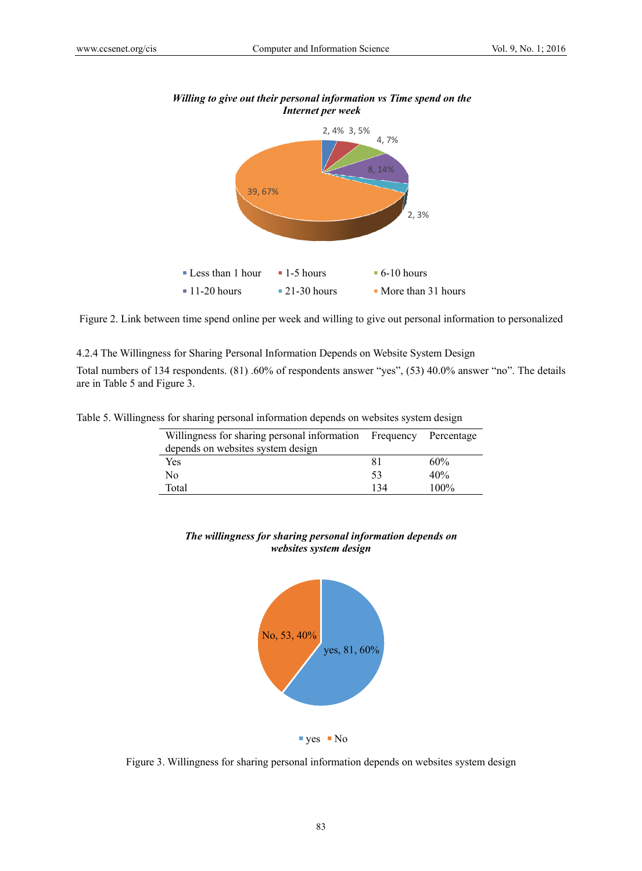

# *Willing to give out their personal information vs Time spend on the Internet per week*

Figure 2. Link between time spend online per week and willing to give out personal information to personalized

4.2.4 The Willingness for Sharing Personal Information Depends on Website System Design Total numbers of 134 respondents. (81) .60% of respondents answer "yes", (53) 40.0% answer "no". The details are in Table 5 and Figure 3.

Table 5. Willingness for sharing personal information depends on websites system design

| Willingness for sharing personal information | Frequency | Percentage |  |
|----------------------------------------------|-----------|------------|--|
| depends on websites system design            |           |            |  |
| Yes                                          | 81        | 60%        |  |
| No.                                          | 53        | 40%        |  |
| Total                                        | 134       | 100%       |  |





Figure 3. Willingness for sharing personal information depends on websites system design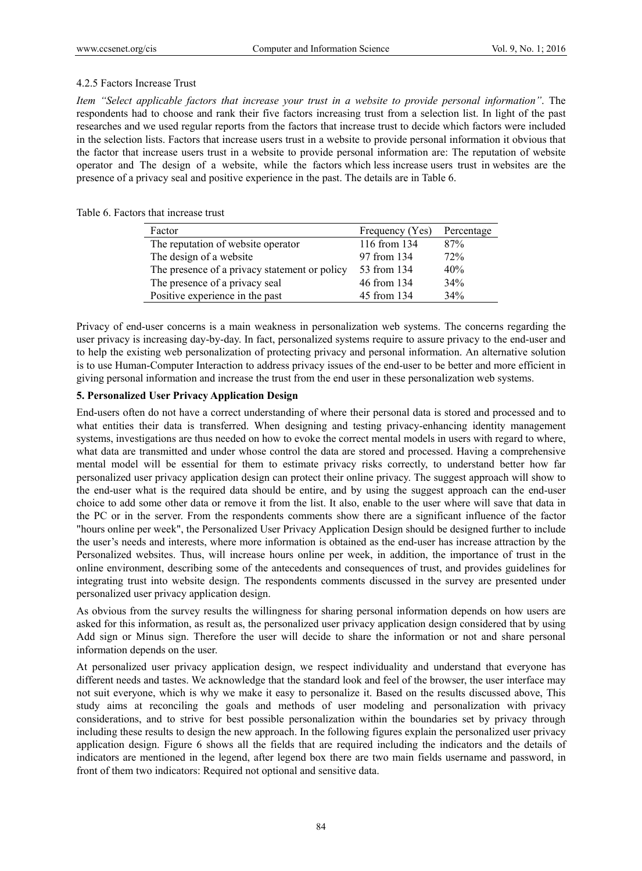## 4.2.5 Factors Increase Trust

*Item "Select applicable factors that increase your trust in a website to provide personal information"*. The respondents had to choose and rank their five factors increasing trust from a selection list. In light of the past researches and we used regular reports from the factors that increase trust to decide which factors were included in the selection lists. Factors that increase users trust in a website to provide personal information it obvious that the factor that increase users trust in a website to provide personal information are: The reputation of website operator and The design of a website, while the factors which less increase users trust in websites are the presence of a privacy seal and positive experience in the past. The details are in Table 6.

|  |  |  | Table 6. Factors that increase trust |  |
|--|--|--|--------------------------------------|--|
|--|--|--|--------------------------------------|--|

| Factor                                        | Frequency (Yes) | Percentage |
|-----------------------------------------------|-----------------|------------|
| The reputation of website operator            | 116 from 134    | 87%        |
| The design of a website                       | 97 from 134     | 72%        |
| The presence of a privacy statement or policy | 53 from 134     | 40%        |
| The presence of a privacy seal                | 46 from 134     | 34%        |
| Positive experience in the past               | 45 from 134     | 34%        |

Privacy of end-user concerns is a main weakness in personalization web systems. The concerns regarding the user privacy is increasing day-by-day. In fact, personalized systems require to assure privacy to the end-user and to help the existing web personalization of protecting privacy and personal information. An alternative solution is to use Human-Computer Interaction to address privacy issues of the end-user to be better and more efficient in giving personal information and increase the trust from the end user in these personalization web systems.

## **5. Personalized User Privacy Application Design**

End-users often do not have a correct understanding of where their personal data is stored and processed and to what entities their data is transferred. When designing and testing privacy-enhancing identity management systems, investigations are thus needed on how to evoke the correct mental models in users with regard to where, what data are transmitted and under whose control the data are stored and processed. Having a comprehensive mental model will be essential for them to estimate privacy risks correctly, to understand better how far personalized user privacy application design can protect their online privacy. The suggest approach will show to the end-user what is the required data should be entire, and by using the suggest approach can the end-user choice to add some other data or remove it from the list. It also, enable to the user where will save that data in the PC or in the server. From the respondents comments show there are a significant influence of the factor "hours online per week", the Personalized User Privacy Application Design should be designed further to include the user's needs and interests, where more information is obtained as the end-user has increase attraction by the Personalized websites. Thus, will increase hours online per week, in addition, the importance of trust in the online environment, describing some of the antecedents and consequences of trust, and provides guidelines for integrating trust into website design. The respondents comments discussed in the survey are presented under personalized user privacy application design.

As obvious from the survey results the willingness for sharing personal information depends on how users are asked for this information, as result as, the personalized user privacy application design considered that by using Add sign or Minus sign. Therefore the user will decide to share the information or not and share personal information depends on the user.

At personalized user privacy application design, we respect individuality and understand that everyone has different needs and tastes. We acknowledge that the standard look and feel of the browser, the user interface may not suit everyone, which is why we make it easy to personalize it. Based on the results discussed above, This study aims at reconciling the goals and methods of user modeling and personalization with privacy considerations, and to strive for best possible personalization within the boundaries set by privacy through including these results to design the new approach. In the following figures explain the personalized user privacy application design. Figure 6 shows all the fields that are required including the indicators and the details of indicators are mentioned in the legend, after legend box there are two main fields username and password, in front of them two indicators: Required not optional and sensitive data.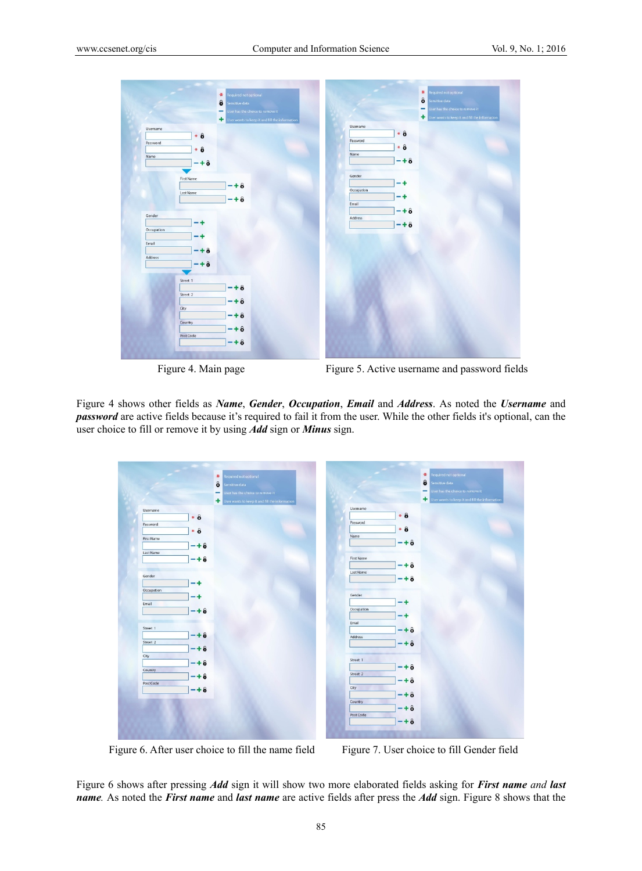|            |                   | ₩<br>Required not optional            |                                                |            |             | $\boldsymbol{\ast}$        | equired not optional                           |  |
|------------|-------------------|---------------------------------------|------------------------------------------------|------------|-------------|----------------------------|------------------------------------------------|--|
|            |                   | $\ddot{\mathbf{a}}$                   |                                                |            |             | $\bf{6}$<br>Sensitive data |                                                |  |
|            |                   | Sensitive data                        |                                                |            |             | -                          | User has the choice to remove it               |  |
|            |                   | User has the choice to remove it<br>- |                                                |            |             | ٠                          | User wants to keep it and fill the information |  |
|            |                   | ۰                                     | User wants to keep it and fill the information |            |             |                            |                                                |  |
| Username   |                   |                                       |                                                | Username   |             |                            |                                                |  |
|            | $*$ $\theta$      |                                       |                                                |            | $\bullet$ 8 |                            |                                                |  |
| Password   |                   |                                       |                                                | Password   | $* 8$       |                            |                                                |  |
|            | $*$ $\theta$      |                                       |                                                | Name       |             |                            |                                                |  |
| Name       | $-+8$             |                                       |                                                |            | $-+8$       |                            |                                                |  |
|            |                   |                                       |                                                |            |             |                            |                                                |  |
|            | <b>First Name</b> |                                       |                                                | Gender     |             |                            |                                                |  |
|            |                   | $-+8$                                 |                                                |            | -+          |                            |                                                |  |
|            | Last Name         |                                       |                                                | Occupation |             |                            |                                                |  |
|            |                   | $-+8$                                 |                                                |            | $-+$        |                            |                                                |  |
|            |                   |                                       |                                                | Email      |             |                            |                                                |  |
| Gender     |                   |                                       |                                                |            | $-+8$       |                            |                                                |  |
|            | -+                |                                       |                                                | Address    |             |                            |                                                |  |
| Occupation |                   |                                       |                                                |            | $-+8$       |                            |                                                |  |
|            | -+                |                                       |                                                |            |             |                            |                                                |  |
| Email      |                   |                                       |                                                |            |             |                            |                                                |  |
|            | $-+8$             |                                       |                                                |            |             |                            |                                                |  |
| Address    |                   |                                       |                                                |            |             |                            |                                                |  |
|            | $-+8$             |                                       |                                                |            |             |                            |                                                |  |
|            |                   |                                       |                                                |            |             |                            |                                                |  |
|            | Street 1          |                                       |                                                |            |             |                            |                                                |  |
|            |                   | $-+8$                                 |                                                |            |             |                            |                                                |  |
|            | Street 2          |                                       |                                                |            |             |                            |                                                |  |
|            |                   | $-+8$                                 |                                                |            |             |                            |                                                |  |
|            | City              | $-+8$                                 |                                                |            |             |                            |                                                |  |
|            | Country           |                                       |                                                |            |             |                            |                                                |  |
|            |                   | $-+8$                                 |                                                |            |             |                            |                                                |  |
|            | Post Code         |                                       |                                                |            |             |                            |                                                |  |
|            |                   | $-+8$                                 |                                                |            |             |                            |                                                |  |
|            |                   |                                       |                                                |            |             |                            |                                                |  |
|            |                   |                                       |                                                |            |             |                            |                                                |  |

Figure 4. Main page Figure 5. Active username and password fields

Figure 4 shows other fields as *Name*, *Gender*, *Occupation*, *Email* and *Address*. As noted the *Username* and *password* are active fields because it's required to fail it from the user. While the other fields it's optional, can the user choice to fill or remove it by using *Add* sign or *Minus* sign.



Figure 6. After user choice to fill the name field Figure 7. User choice to fill Gender field

Figure 6 shows after pressing *Add* sign it will show two more elaborated fields asking for *First name and last name.* As noted the *First name* and *last name* are active fields after press the *Add* sign. Figure 8 shows that the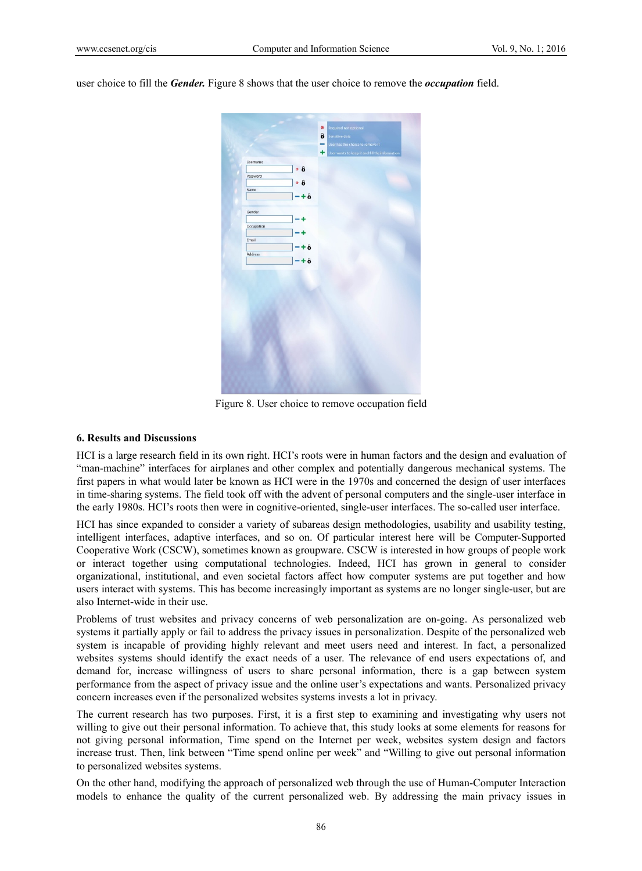user choice to fill the *Gender.* Figure 8 shows that the user choice to remove the *occupation* field.

 $\overline{a}$  $* \theta$ 

Figure 8. User choice to remove occupation field

#### **6. Results and Discussions**

HCI is a large research field in its own right. HCI's roots were in human factors and the design and evaluation of "man-machine" interfaces for airplanes and other complex and potentially dangerous mechanical systems. The first papers in what would later be known as HCI were in the 1970s and concerned the design of user interfaces in time-sharing systems. The field took off with the advent of personal computers and the single-user interface in the early 1980s. HCI's roots then were in cognitive-oriented, single-user interfaces. The so-called user interface.

HCI has since expanded to consider a variety of subareas design methodologies, usability and usability testing, intelligent interfaces, adaptive interfaces, and so on. Of particular interest here will be Computer-Supported Cooperative Work (CSCW), sometimes known as groupware. CSCW is interested in how groups of people work or interact together using computational technologies. Indeed, HCI has grown in general to consider organizational, institutional, and even societal factors affect how computer systems are put together and how users interact with systems. This has become increasingly important as systems are no longer single-user, but are also Internet-wide in their use.

Problems of trust websites and privacy concerns of web personalization are on-going. As personalized web systems it partially apply or fail to address the privacy issues in personalization. Despite of the personalized web system is incapable of providing highly relevant and meet users need and interest. In fact, a personalized websites systems should identify the exact needs of a user. The relevance of end users expectations of, and demand for, increase willingness of users to share personal information, there is a gap between system performance from the aspect of privacy issue and the online user's expectations and wants. Personalized privacy concern increases even if the personalized websites systems invests a lot in privacy.

The current research has two purposes. First, it is a first step to examining and investigating why users not willing to give out their personal information. To achieve that, this study looks at some elements for reasons for not giving personal information, Time spend on the Internet per week, websites system design and factors increase trust. Then, link between "Time spend online per week" and "Willing to give out personal information to personalized websites systems.

On the other hand, modifying the approach of personalized web through the use of Human-Computer Interaction models to enhance the quality of the current personalized web. By addressing the main privacy issues in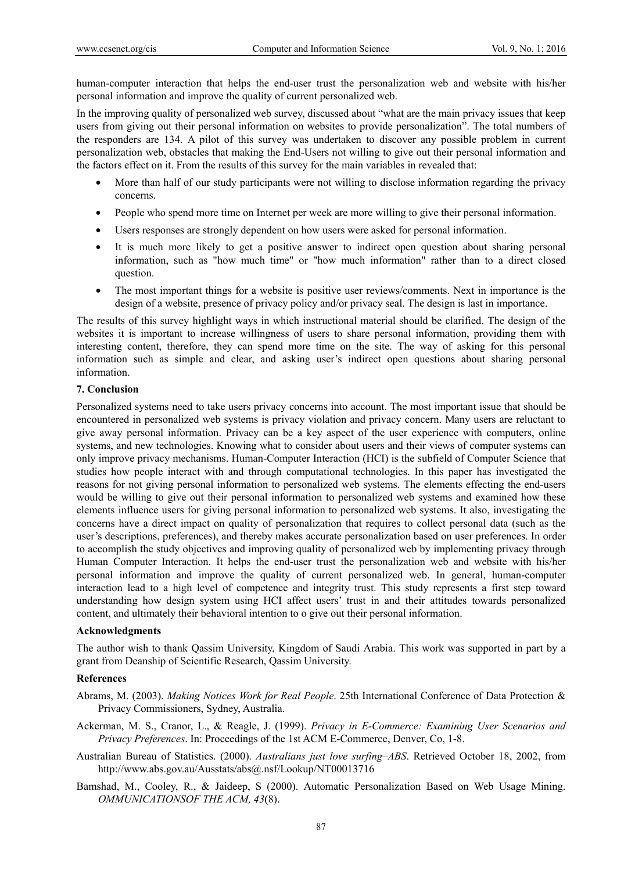human-computer interaction that helps the end-user trust the personalization web and website with his/her personal information and improve the quality of current personalized web.

In the improving quality of personalized web survey, discussed about "what are the main privacy issues that keep users from giving out their personal information on websites to provide personalization". The total numbers of the responders are 134. A pilot of this survey was undertaken to discover any possible problem in current personalization web, obstacles that making the End-Users not willing to give out their personal information and the factors effect on it. From the results of this survey for the main variables in revealed that:

- More than half of our study participants were not willing to disclose information regarding the privacy concerns.
- People who spend more time on Internet per week are more willing to give their personal information.
- Users responses are strongly dependent on how users were asked for personal information.
- It is much more likely to get a positive answer to indirect open question about sharing personal information, such as "how much time" or "how much information" rather than to a direct closed question.
- The most important things for a website is positive user reviews/comments. Next in importance is the design of a website, presence of privacy policy and/or privacy seal. The design is last in importance.

The results of this survey highlight ways in which instructional material should be clarified. The design of the websites it is important to increase willingness of users to share personal information, providing them with interesting content, therefore, they can spend more time on the site. The way of asking for this personal information such as simple and clear, and asking user's indirect open questions about sharing personal information.

#### **7. Conclusion**

Personalized systems need to take users privacy concerns into account. The most important issue that should be encountered in personalized web systems is privacy violation and privacy concern. Many users are reluctant to give away personal information. Privacy can be a key aspect of the user experience with computers, online systems, and new technologies. Knowing what to consider about users and their views of computer systems can only improve privacy mechanisms. Human-Computer Interaction (HCI) is the subfield of Computer Science that studies how people interact with and through computational technologies. In this paper has investigated the reasons for not giving personal information to personalized web systems. The elements effecting the end-users would be willing to give out their personal information to personalized web systems and examined how these elements influence users for giving personal information to personalized web systems. It also, investigating the concerns have a direct impact on quality of personalization that requires to collect personal data (such as the user's descriptions, preferences), and thereby makes accurate personalization based on user preferences. In order to accomplish the study objectives and improving quality of personalized web by implementing privacy through Human Computer Interaction. It helps the end-user trust the personalization web and website with his/her personal information and improve the quality of current personalized web. In general, human-computer interaction lead to a high level of competence and integrity trust. This study represents a first step toward understanding how design system using HCI affect users' trust in and their attitudes towards personalized content, and ultimately their behavioral intention to o give out their personal information.

#### **Acknowledgments**

The author wish to thank Qassim University, Kingdom of Saudi Arabia. This work was supported in part by a grant from Deanship of Scientific Research, Qassim University.

#### **References**

- Abrams, M. (2003). *Making Notices Work for Real People*. 25th International Conference of Data Protection & Privacy Commissioners, Sydney, Australia.
- Ackerman, M. S., Cranor, L., & Reagle, J. (1999). *Privacy in E-Commerce: Examining User Scenarios and Privacy Preferences*. In: Proceedings of the 1st ACM E-Commerce, Denver, Co, 1-8.
- Australian Bureau of Statistics. (2000). *Australians just love surfing–ABS*. Retrieved October 18, 2002, from http://www.abs.gov.au/Ausstats/abs@.nsf/Lookup/NT00013716
- Bamshad, M., Cooley, R., & Jaideep, S (2000). Automatic Personalization Based on Web Usage Mining. *OMMUNICATIONSOF THE ACM, 43*(8).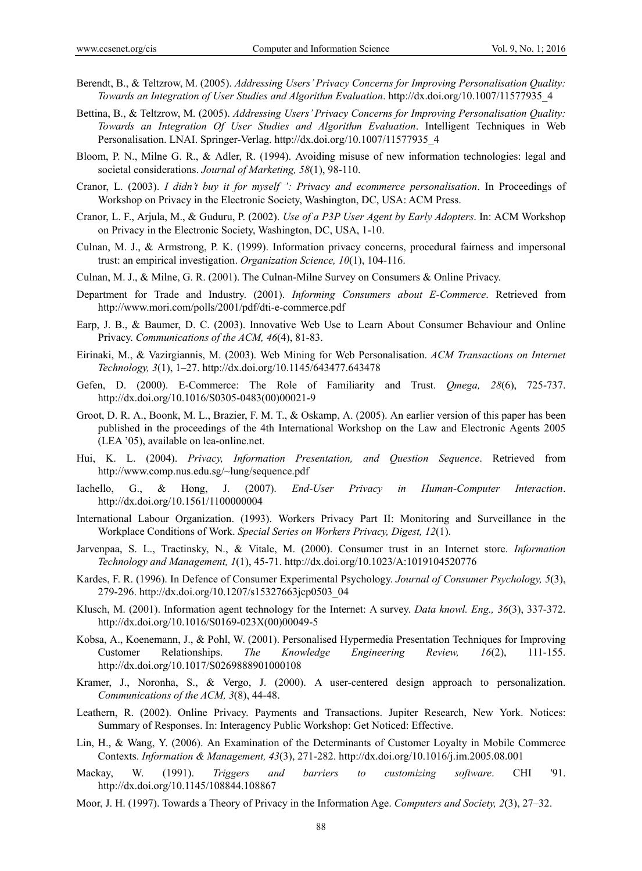- Berendt, B., & Teltzrow, M. (2005). *Addressing Users' Privacy Concerns for Improving Personalisation Quality: Towards an Integration of User Studies and Algorithm Evaluation*. http://dx.doi.org/10.1007/11577935\_4
- Bettina, B., & Teltzrow, M. (2005). *Addressing Users' Privacy Concerns for Improving Personalisation Quality: Towards an Integration Of User Studies and Algorithm Evaluation*. Intelligent Techniques in Web Personalisation. LNAI. Springer-Verlag. http://dx.doi.org/10.1007/11577935\_4
- Bloom, P. N., Milne G. R., & Adler, R. (1994). Avoiding misuse of new information technologies: legal and societal considerations. *Journal of Marketing, 58*(1), 98-110.
- Cranor, L. (2003). *I didn't buy it for myself ': Privacy and ecommerce personalisation*. In Proceedings of Workshop on Privacy in the Electronic Society, Washington, DC, USA: ACM Press.
- Cranor, L. F., Arjula, M., & Guduru, P. (2002). *Use of a P3P User Agent by Early Adopters*. In: ACM Workshop on Privacy in the Electronic Society, Washington, DC, USA, 1-10.
- Culnan, M. J., & Armstrong, P. K. (1999). Information privacy concerns, procedural fairness and impersonal trust: an empirical investigation. *Organization Science, 10*(1), 104-116.
- Culnan, M. J., & Milne, G. R. (2001). The Culnan-Milne Survey on Consumers & Online Privacy.
- Department for Trade and Industry. (2001). *Informing Consumers about E-Commerce*. Retrieved from http://www.mori.com/polls/2001/pdf/dti-e-commerce.pdf
- Earp, J. B., & Baumer, D. C. (2003). Innovative Web Use to Learn About Consumer Behaviour and Online Privacy. *Communications of the ACM, 46*(4), 81-83.
- Eirinaki, M., & Vazirgiannis, M. (2003). Web Mining for Web Personalisation. *ACM Transactions on Internet Technology, 3*(1), 1–27. http://dx.doi.org/10.1145/643477.643478
- Gefen, D. (2000). E-Commerce: The Role of Familiarity and Trust. *Qmega, 28*(6), 725-737. http://dx.doi.org/10.1016/S0305-0483(00)00021-9
- Groot, D. R. A., Boonk, M. L., Brazier, F. M. T., & Oskamp, A. (2005). An earlier version of this paper has been published in the proceedings of the 4th International Workshop on the Law and Electronic Agents 2005 (LEA '05), available on lea-online.net.
- Hui, K. L. (2004). *Privacy, Information Presentation, and Question Sequence*. Retrieved from http://www.comp.nus.edu.sg/~lung/sequence.pdf
- Iachello, G., & Hong, J. (2007). *End-User Privacy in Human-Computer Interaction*. http://dx.doi.org/10.1561/1100000004
- International Labour Organization. (1993). Workers Privacy Part II: Monitoring and Surveillance in the Workplace Conditions of Work. *Special Series on Workers Privacy, Digest, 12*(1).
- Jarvenpaa, S. L., Tractinsky, N., & Vitale, M. (2000). Consumer trust in an Internet store. *Information Technology and Management, 1*(1), 45-71. http://dx.doi.org/10.1023/A:1019104520776
- Kardes, F. R. (1996). In Defence of Consumer Experimental Psychology. *Journal of Consumer Psychology, 5*(3), 279-296. http://dx.doi.org/10.1207/s15327663jcp0503\_04
- Klusch, M. (2001). Information agent technology for the Internet: A survey. *Data knowl. Eng., 36*(3), 337-372. http://dx.doi.org/10.1016/S0169-023X(00)00049-5
- Kobsa, A., Koenemann, J., & Pohl, W. (2001). Personalised Hypermedia Presentation Techniques for Improving Customer Relationships. *The Knowledge Engineering Review, 16*(2), 111-155. http://dx.doi.org/10.1017/S0269888901000108
- Kramer, J., Noronha, S., & Vergo, J. (2000). A user-centered design approach to personalization. *Communications of the ACM, 3*(8), 44-48.
- Leathern, R. (2002). Online Privacy. Payments and Transactions. Jupiter Research, New York. Notices: Summary of Responses. In: Interagency Public Workshop: Get Noticed: Effective.
- Lin, H., & Wang, Y. (2006). An Examination of the Determinants of Customer Loyalty in Mobile Commerce Contexts. *Information & Management, 43*(3), 271-282. http://dx.doi.org/10.1016/j.im.2005.08.001
- Mackay, W. (1991). *Triggers and barriers to customizing software*. CHI '91. http://dx.doi.org/10.1145/108844.108867
- Moor, J. H. (1997). Towards a Theory of Privacy in the Information Age. *Computers and Society, 2*(3), 27–32.